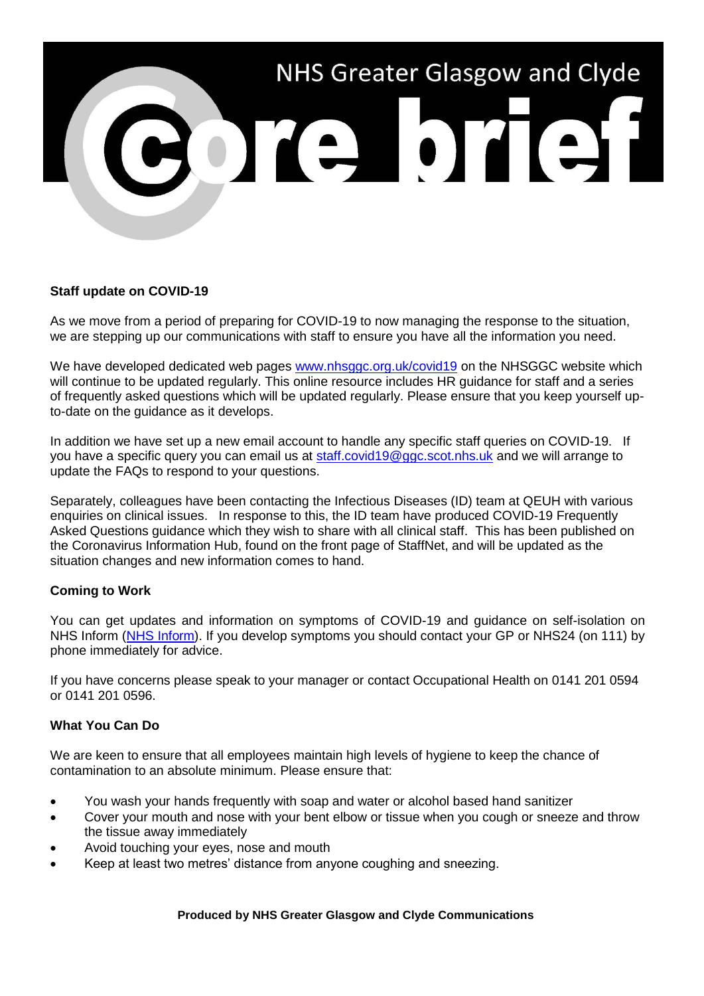

# **Staff update on COVID-19**

As we move from a period of preparing for COVID-19 to now managing the response to the situation, we are stepping up our communications with staff to ensure you have all the information you need.

We have developed dedicated web pages [www.nhsggc.org.uk/covid19](http://www.nhsggc.org.uk/covid19) on the NHSGGC website which will continue to be updated regularly. This online resource includes HR guidance for staff and a series of frequently asked questions which will be updated regularly. Please ensure that you keep yourself upto-date on the guidance as it develops.

In addition we have set up a new email account to handle any specific staff queries on COVID-19. If you have a specific query you can email us at [staff.covid19@ggc.scot.nhs.uk](mailto:staff.covid19@ggc.scot.nhs.uk) and we will arrange to update the FAQs to respond to your questions.

Separately, colleagues have been contacting the Infectious Diseases (ID) team at QEUH with various enquiries on clinical issues. In response to this, the ID team have produced COVID-19 Frequently Asked Questions guidance which they wish to share with all clinical staff. This has been published on the Coronavirus Information Hub, found on the front page of StaffNet, and will be updated as the situation changes and new information comes to hand.

## **Coming to Work**

You can get updates and information on symptoms of COVID-19 and guidance on self-isolation on NHS Inform [\(NHS Inform\)](https://www.nhsinform.scot/illnesses-and-conditions/infections-and-poisoning/coronavirus-covid-19). If you develop symptoms you should contact your GP or NHS24 (on 111) by phone immediately for advice.

If you have concerns please speak to your manager or contact Occupational Health on 0141 201 0594 or 0141 201 0596.

## **What You Can Do**

We are keen to ensure that all employees maintain high levels of hygiene to keep the chance of contamination to an absolute minimum. Please ensure that:

- You wash your hands frequently with soap and water or alcohol based hand sanitizer
- Cover your mouth and nose with your bent elbow or tissue when you cough or sneeze and throw the tissue away immediately
- Avoid touching your eyes, nose and mouth
- Keep at least two metres' distance from anyone coughing and sneezing.

#### **Produced by NHS Greater Glasgow and Clyde Communications**